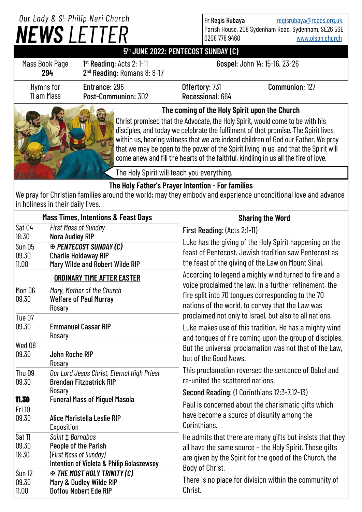## *NEWS LETTER Our Lady & S t. Philip Neri Church*

Fr Regis Rubaya [regisrubaya@rcaos.org.uk](mailto:regisrubaya@rcaos.org.uk) Parish House, 208 Sydenham Road, Sydenham, SE26 5SE 0208 778 9460 [www.olspn.church](http://www.olspn.church)

## **5 th JUNE 2022: PENTECOST SUNDAY (C)**

| Mass Book Page<br>294   | $1st$ Reading: Acts 2: 1-11<br>2 <sup>nd</sup> Reading: Romans 8: 8-17 |                                               | Gospel: John 14: 15-16, 23-26 |
|-------------------------|------------------------------------------------------------------------|-----------------------------------------------|-------------------------------|
| Hymns for<br>11 am Mass | Entrance: 296<br>Post-Communion: 302                                   | Offertory: 731<br>Recessional: 664            | Communion: 127                |
| A A                     |                                                                        | The coming of the Holy Spirit upon the Church |                               |



Christ promised that the Advocate, the Holy Spirit, would come to be with his disciples, and today we celebrate the fulfilment of that promise. The Spirit lives within us, bearing witness that we are indeed children of God our Father. We pray that we may be open to the power of the Spirit living in us, and that the Spirit will come anew and fill the hearts of the faithful, kindling in us all the fire of love.

The Holy Spirit will teach you everything.

## **The Holy Father's Prayer Intention - For families**

We pray for Christian families around the world; may they embody and experience unconditional love and advance in holiness in their daily lives.

| <b>Mass Times, Intentions &amp; Feast Days</b>                                                                                |                                                                                                                                                           | <b>Sharing the Word</b>                                                                                                                                                                                                                                                 |  |
|-------------------------------------------------------------------------------------------------------------------------------|-----------------------------------------------------------------------------------------------------------------------------------------------------------|-------------------------------------------------------------------------------------------------------------------------------------------------------------------------------------------------------------------------------------------------------------------------|--|
| Sat 04<br>18:30<br><b>Sun 05</b><br>09.30<br>11.00                                                                            | <b>First Mass of Sunday</b><br><b>Nora Audley RIP</b><br><b>EX PENTECOST SUNDAY (C)</b><br><b>Charlie Holdaway RIP</b><br>Mary Wilde and Robert Wilde RIP | First Reading: (Acts 2:1-11)<br>Luke has the giving of the Holy Spirit happening on the<br>feast of Pentecost, Jewish tradition saw Pentecost as<br>the feast of the giving of the Law on Mount Sinai.                                                                  |  |
| <b>ORDINARY TIME AFTER EASTER</b><br>Mon 06<br>Mary, Mother of the Church<br><b>Welfare of Paul Murray</b><br>09.30<br>Rosary |                                                                                                                                                           | According to legend a mighty wind turned to fire and a<br>voice proclaimed the law. In a further refinement, the<br>fire split into 70 tongues corresponding to the 70<br>nations of the world, to convey that the Law was                                              |  |
| <b>Tue 07</b><br>09.30                                                                                                        | <b>Emmanuel Cassar RIP</b><br>Rosary                                                                                                                      | proclaimed not only to Israel, but also to all nations.<br>Luke makes use of this tradition. He has a mighty wind<br>and tongues of fire coming upon the group of disciples.<br>But the universal proclamation was not that of the Law,<br>but of the Good News.        |  |
| $Wed$ 08<br>09.30                                                                                                             | <b>John Roche RIP</b><br>Rosary                                                                                                                           |                                                                                                                                                                                                                                                                         |  |
| <b>Thu 09</b><br>09.30                                                                                                        | Our Lord Jesus Christ, Eternal High Priest<br><b>Brendan Fitzpatrick RIP</b>                                                                              | This proclamation reversed the sentence of Babel and<br>re-united the scattered nations.                                                                                                                                                                                |  |
| 11.30<br><b>Fri 10</b>                                                                                                        | Rosary<br><b>Funeral Mass of Miguel Masola</b>                                                                                                            | Second Reading: (1 Corinthians 12:3-7.12-13)<br>Paul is concerned about the charismatic gifts which<br>have become a source of disunity among the                                                                                                                       |  |
| 09.30                                                                                                                         | Alice Maristella Leslie RIP<br>Exposition                                                                                                                 | Corinthians.                                                                                                                                                                                                                                                            |  |
| Sat 11<br>09.30<br>18:30                                                                                                      | Saint $\ddagger$ Barnabas<br>People of the Parish<br>(First Mass of Sunday)<br>Intention of Violeta & Philip Golaszewsey                                  | He admits that there are many gifts but insists that they<br>all have the same source - the Holy Spirit. These gifts<br>are given by the Spirit for the good of the Church, the<br>Body of Christ.<br>There is no place for division within the community of<br>Christ. |  |
| Sun 12<br>09.30<br>11.00                                                                                                      | <b>EX THE MOST HOLY TRINITY (C)</b><br>Mary & Dudley Wilde RIP<br><b>Doffou Nobert Ede RIP</b>                                                            |                                                                                                                                                                                                                                                                         |  |